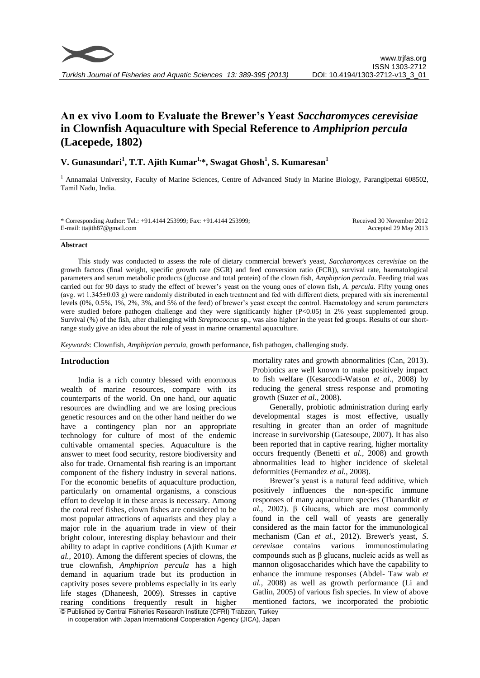# **An ex vivo Loom to Evaluate the Brewer's Yeast** *Saccharomyces cerevisiae* **in Clownfish Aquaculture with Special Reference to** *Amphiprion percula* **(Lacepede, 1802)**

# **V. Gunasundari<sup>1</sup> , T.T. Ajith Kumar1,\*, Swagat Ghosh<sup>1</sup> , S. Kumaresan<sup>1</sup>**

<sup>1</sup> Annamalai University, Faculty of Marine Sciences, Centre of Advanced Study in Marine Biology, Parangipettai 608502, Tamil Nadu, India.

\* Corresponding Author: Tel.: +91.4144 253999; Fax: +91.4144 253999; E-mail: ttajith87@gmail.com

Received 30 November 2012 Accepted 29 May 2013

#### **Abstract**

This study was conducted to assess the role of dietary commercial brewer's yeast, *Saccharomyces cerevisiae* on the growth factors (final weight, specific growth rate (SGR) and feed conversion ratio (FCR)), survival rate, haematological parameters and serum metabolic products (glucose and total protein) of the clown fish, *Amphiprion percula.* Feeding trial was carried out for 90 days to study the effect of brewer's yeast on the young ones of clown fish, *A. percula*. Fifty young ones (avg. wt 1.345±0.03 g) were randomly distributed in each treatment and fed with different diets, prepared with six incremental levels (0%, 0.5%, 1%, 2%, 3%, and 5% of the feed) of brewer's yeast except the control. Haematology and serum parameters were studied before pathogen challenge and they were significantly higher (P<0.05) in 2% yeast supplemented group. Survival (%) of the fish, after challenging with *Streptococcus* sp., was also higher in the yeast fed groups. Results of our shortrange study give an idea about the role of yeast in marine ornamental aquaculture.

*Keywords*: Clownfish, *Amphiprion percula*, growth performance, fish pathogen, challenging study.

## **Introduction**

India is a rich country blessed with enormous wealth of marine resources, compare with its counterparts of the world. On one hand, our aquatic resources are dwindling and we are losing precious genetic resources and on the other hand neither do we have a contingency plan nor an appropriate technology for culture of most of the endemic cultivable ornamental species. Aquaculture is the answer to meet food security, restore biodiversity and also for trade. Ornamental fish rearing is an important component of the fishery industry in several nations. For the economic benefits of aquaculture production, particularly on ornamental organisms, a conscious effort to develop it in these areas is necessary. Among the coral reef fishes, clown fishes are considered to be most popular attractions of aquarists and they play a major role in the aquarium trade in view of their bright colour, interesting display behaviour and their ability to adapt in captive conditions (Ajith Kumar *et al.*, 2010). Among the different species of clowns, the true clownfish, *Amphiprion percula* has a high demand in aquarium trade but its production in captivity poses severe problems especially in its early life stages (Dhaneesh, 2009). Stresses in captive rearing conditions frequently result in higher mortality rates and growth abnormalities (Can, 2013). Probiotics are well known to make positively impact to fish welfare (Kesarcodi-Watson *et al.*, 2008) by reducing the general stress response and promoting growth (Suzer *et al.*, 2008).

Generally, probiotic administration during early developmental stages is most effective, usually resulting in greater than an order of magnitude increase in survivorship (Gatesoupe, 2007). It has also been reported that in captive rearing, higher mortality occurs frequently (Benetti *et al.*, 2008) and growth abnormalities lead to higher incidence of skeletal deformities (Fernandez *et al.*, 2008).

Brewer's yeast is a natural feed additive, which positively influences the non-specific immune responses of many aquaculture species (Thanardkit *et al.*, 2002). β Glucans, which are most commonly found in the cell wall of yeasts are generally considered as the main factor for the immunological mechanism (Can *et al.*, 2012). Brewer's yeast, *S. cerevisae* contains various immunostimulating compounds such as β glucans, nucleic acids as well as mannon oligosaccharides which have the capability to enhance the immune responses (Abdel- Taw wab *et al.*, 2008) as well as growth performance (Li and Gatlin, 2005) of various fish species. In view of above mentioned factors, we incorporated the probiotic

© Published by Central Fisheries Research Institute (CFRI) Trabzon, Turkey in cooperation with Japan International Cooperation Agency (JICA), Japan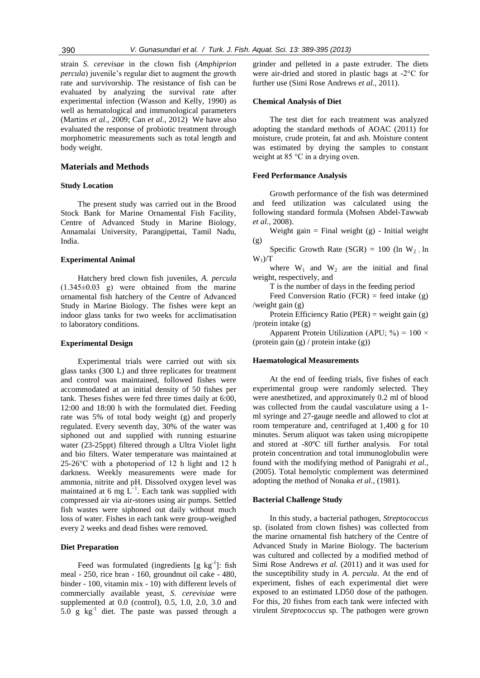strain *S. cerevisae* in the clown fish (*Amphiprion percula*) juvenile's regular diet to augment the growth rate and survivorship. The resistance of fish can be evaluated by analyzing the survival rate after experimental infection (Wasson and Kelly, 1990) as well as hematological and immunological parameters (Martins *et al.*, 2009; Can *et al.*, 2012) We have also evaluated the response of probiotic treatment through morphometric measurements such as total length and body weight.

#### **Materials and Methods**

### **Study Location**

The present study was carried out in the Brood Stock Bank for Marine Ornamental Fish Facility, Centre of Advanced Study in Marine Biology, Annamalai University, Parangipettai, Tamil Nadu, India.

#### **Experimental Animal**

Hatchery bred clown fish juveniles, *A. percula*  $(1.345\pm0.03)$  g) were obtained from the marine ornamental fish hatchery of the Centre of Advanced Study in Marine Biology. The fishes were kept an indoor glass tanks for two weeks for acclimatisation to laboratory conditions.

#### **Experimental Design**

Experimental trials were carried out with six glass tanks (300 L) and three replicates for treatment and control was maintained, followed fishes were accommodated at an initial density of 50 fishes per tank. Theses fishes were fed three times daily at 6:00, 12:00 and 18:00 h with the formulated diet. Feeding rate was 5% of total body weight (g) and properly regulated. Every seventh day, 30% of the water was siphoned out and supplied with running estuarine water (23-25ppt) filtered through a Ultra Violet light and bio filters. Water temperature was maintained at 25-26°C with a photoperiod of 12 h light and 12 h darkness. Weekly measurements were made for ammonia, nitrite and pH. Dissolved oxygen level was maintained at 6 mg  $L^{-1}$ . Each tank was supplied with compressed air via air-stones using air pumps. Settled fish wastes were siphoned out daily without much loss of water. Fishes in each tank were group-weighed every 2 weeks and dead fishes were removed.

#### **Diet Preparation**

Feed was formulated (ingredients  $[g \ kg^{-1}]$ : fish meal - 250, rice bran - 160, groundnut oil cake - 480, binder - 100, vitamin mix - 10) with different levels of commercially available yeast, *S. cerevisiae* were supplemented at 0.0 (control), 0.5, 1.0, 2.0, 3.0 and  $5.0 \text{ g kg}^{-1}$  diet. The paste was passed through a grinder and pelleted in a paste extruder. The diets were air-dried and stored in plastic bags at -2°C for further use (Simi Rose Andrews *et al.*, 2011).

#### **Chemical Analysis of Diet**

The test diet for each treatment was analyzed adopting the standard methods of AOAC (2011) for moisture, crude protein, fat and ash. Moisture content was estimated by drying the samples to constant weight at 85 °C in a drying oven.

#### **Feed Performance Analysis**

Growth performance of the fish was determined and feed utilization was calculated using the following standard formula (Mohsen Abdel-Tawwab *et al.*, 2008).

Weight gain  $=$  Final weight (g) - Initial weight (g)

Specific Growth Rate (SGR) =  $100$  (ln W<sub>2</sub> In  $W_1$ )/T

where  $W_1$  and  $W_2$  are the initial and final weight, respectively, and

T is the number of days in the feeding period

Feed Conversion Ratio (FCR) = feed intake (g) /weight gain (g)

Protein Efficiency Ratio (PER) = weight gain (g) /protein intake (g)

Apparent Protein Utilization (APU;  $\%$ ) = 100 × (protein gain (g) / protein intake (g))

#### **Haematological Measurements**

At the end of feeding trials, five fishes of each experimental group were randomly selected. They were anesthetized, and approximately 0.2 ml of blood was collected from the caudal vasculature using a 1 ml syringe and 27-gauge needle and allowed to clot at room temperature and, centrifuged at 1,400 g for 10 minutes. Serum aliquot was taken using micropipette and stored at -80ºC till further analysis. For total protein concentration and total immunoglobulin were found with the modifying method of Panigrahi *et al.,* (2005). Total hemolytic complement was determined adopting the method of Nonaka *et al.,* (1981).

## **Bacterial Challenge Study**

In this study, a bacterial pathogen, *Streptococcus*  sp. (isolated from clown fishes) was collected from the marine ornamental fish hatchery of the Centre of Advanced Study in Marine Biology. The bacterium was cultured and collected by a modified method of Simi Rose Andrews *et al.* (2011) and it was used for the susceptibility study in *A*. *percula*. At the end of experiment, fishes of each experimental diet were exposed to an estimated LD50 dose of the pathogen. For this, 20 fishes from each tank were infected with virulent *Streptococcus* sp. The pathogen were grown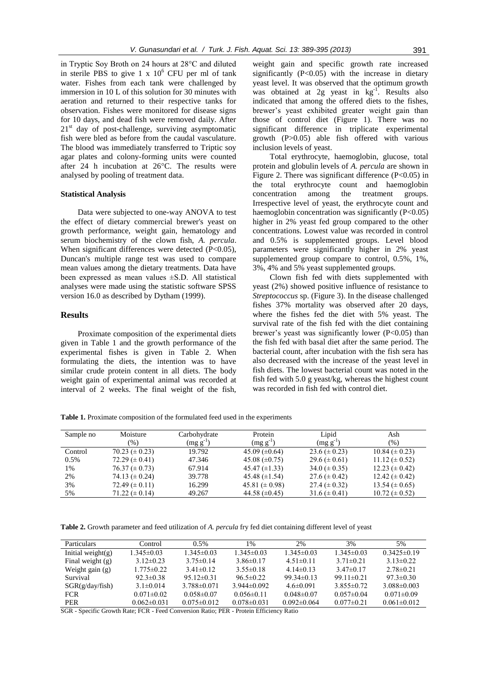in Tryptic Soy Broth on 24 hours at 28°C and diluted in sterile PBS to give  $1 \times 10^6$  CFU per ml of tank water. Fishes from each tank were challenged by immersion in 10 L of this solution for 30 minutes with aeration and returned to their respective tanks for observation. Fishes were monitored for disease signs for 10 days, and dead fish were removed daily. After  $21<sup>st</sup>$  day of post-challenge, surviving asymptomatic fish were bled as before from the caudal vasculature. The blood was immediately transferred to Triptic soy agar plates and colony-forming units were counted after 24 h incubation at 26°C. The results were analysed by pooling of treatment data.

#### **Statistical Analysis**

Data were subjected to one-way ANOVA to test the effect of dietary commercial brewer's yeast on growth performance, weight gain, hematology and serum biochemistry of the clown fish, *A. percula*. When significant differences were detected (P<0.05), Duncan's multiple range test was used to compare mean values among the dietary treatments. Data have been expressed as mean values ±S.D. All statistical analyses were made using the statistic software SPSS version 16.0 as described by Dytham (1999).

## **Results**

Proximate composition of the experimental diets given in Table 1 and the growth performance of the experimental fishes is given in Table 2. When formulating the diets, the intention was to have similar crude protein content in all diets. The body weight gain of experimental animal was recorded at interval of 2 weeks. The final weight of the fish, weight gain and specific growth rate increased significantly  $(P<0.05)$  with the increase in dietary yeast level. It was observed that the optimum growth was obtained at  $2g$  yeast in  $kg^{-1}$ . Results also indicated that among the offered diets to the fishes, brewer's yeast exhibited greater weight gain than those of control diet (Figure 1). There was no significant difference in triplicate experimental growth (P>0.05) able fish offered with various inclusion levels of yeast.

Total erythrocyte, haemoglobin, glucose, total protein and globulin levels of *A. percula* are shown in Figure 2. There was significant difference  $(P<0.05)$  in the total erythrocyte count and haemoglobin concentration among the treatment groups. Irrespective level of yeast, the erythrocyte count and haemoglobin concentration was significantly  $(P<0.05)$ higher in 2% yeast fed group compared to the other concentrations. Lowest value was recorded in control and 0.5% is supplemented groups. Level blood parameters were significantly higher in 2% yeast supplemented group compare to control, 0.5%, 1%, 3%, 4% and 5% yeast supplemented groups.

Clown fish fed with diets supplemented with yeast (2%) showed positive influence of resistance to *Streptococcus* sp. (Figure 3). In the disease challenged fishes 37% mortality was observed after 20 days, where the fishes fed the diet with 5% yeast. The survival rate of the fish fed with the diet containing brewer's yeast was significantly lower (P<0.05) than the fish fed with basal diet after the same period. The bacterial count, after incubation with the fish sera has also decreased with the increase of the yeast level in fish diets. The lowest bacterial count was noted in the fish fed with 5.0 g yeast/kg, whereas the highest count was recorded in fish fed with control diet.

**Table 1.** Proximate composition of the formulated feed used in the experiments

| Sample no | Moisture             | Carbohydrate  | Protein              | Lipid               | Ash                  |
|-----------|----------------------|---------------|----------------------|---------------------|----------------------|
|           | $\frac{9}{6}$        | $(mg g^{-1})$ | $(mg g^{-1})$        | $(mg g-1)$          | (% )                 |
| Control   | $70.23 \ (\pm 0.23)$ | 19.792        | 45.09 $(\pm 0.64)$   | 23.6 ( $\pm$ 0.23)  | $10.84 \ (\pm 0.23)$ |
| 0.5%      | 72.29 $(\pm 0.41)$   | 47.346        | 45.08 $(\pm 0.75)$   | 29.6 ( $\pm$ 0.61)  | $11.12 \ (\pm 0.52)$ |
| 1%        | $76.37 (\pm 0.73)$   | 67.914        | $45.47 \ (\pm 1.33)$ | $34.0 \ (\pm 0.35)$ | $12.23 \ (\pm 0.42)$ |
| 2%        | 74.13 $(\pm 0.24)$   | 39.778        | 45.48 $(\pm 1.54)$   | 27.6 $(\pm 0.42)$   | $12.42 \ (\pm 0.42)$ |
| 3%        | 72.49 $(\pm 0.11)$   | 16.299        | 45.81 ( $\pm$ 0.98)  | 27.4 $(\pm 0.32)$   | $13.54 \ (\pm 0.65)$ |
| 5%        | $71.22 \ (\pm 0.14)$ | 49.267        | 44.58 $(\pm 0.45)$   | $31.6 (\pm 0.41)$   | $10.72 \ (\pm 0.52)$ |

**Table 2.** Growth parameter and feed utilization of *A. percula* fry fed diet containing different level of yeast

| <b>Particulars</b>   | Control           | $0.5\%$           | 1%                | 2%                | 3%               | 5%                |
|----------------------|-------------------|-------------------|-------------------|-------------------|------------------|-------------------|
| Initial weight $(g)$ | $1.345 \pm 0.03$  | $1.345\pm0.03$    | $1.345 \pm 0.03$  | $1.345 \pm 0.03$  | $1.345 \pm 0.03$ | $0.3425\pm0.19$   |
| Final weight $(g)$   | $3.12\pm0.23$     | $3.75 \pm 0.14$   | $3.86\pm0.17$     | $4.51 \pm 0.11$   | $3.71 \pm 0.21$  | $313\pm0.22$      |
| Weight gain $(g)$    | $1.775 \pm 0.22$  | $3.41 \pm 0.12$   | $3.55\pm0.18$     | $4.14\pm0.13$     | $3.47\pm0.17$    | $2.78 \pm 0.21$   |
| Survival             | $92.3 \pm 0.38$   | $9512\pm0.31$     | $96.5 \pm 0.22$   | $9934\pm0.13$     | 99 11 $\pm$ 0 21 | $973\pm0.30$      |
| SGR(g/day/fish)      | $3.1 \pm 0.014$   | $3.788\pm0.071$   | $3.944\pm0.092$   | $4.6 \pm 0.091$   | $3.855\pm0.72$   | 3 088 $\pm$ 0 003 |
| <b>FCR</b>           | $0.071 \pm 0.02$  | $0.058 \pm 0.07$  | $0.056 \pm 0.11$  | $0.048 \pm 0.07$  | $0.057\pm0.04$   | $0.071 \pm 0.09$  |
| <b>PER</b>           | $0.062 \pm 0.031$ | $0.075 \pm 0.012$ | $0.078 \pm 0.031$ | $0.092 \pm 0.064$ | $0.077\pm0.21$   | $0.061 \pm 0.012$ |

SGR - Specific Growth Rate; FCR - Feed Conversion Ratio; PER - Protein Efficiency Ratio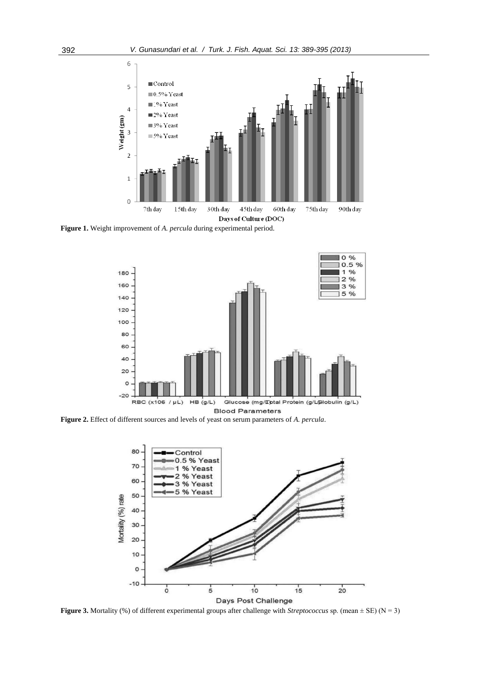

**Figure 1.** Weight improvement of *A. percula* during experimental period.



**Figure 2.** Effect of different sources and levels of yeast on serum parameters of *A. percula*.



**Figure 3.** Mortality (%) of different experimental groups after challenge with *Streptococcus* sp. (mean ± SE) (N = 3)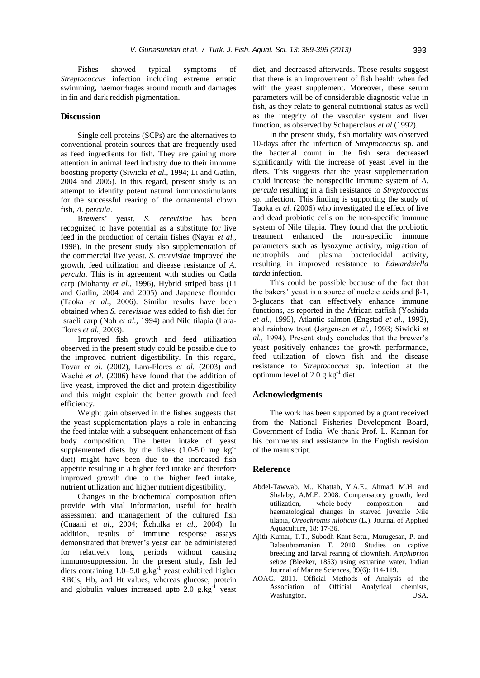Fishes showed typical symptoms of *Streptococcus* infection including extreme erratic swimming, haemorrhages around mouth and damages in fin and dark reddish pigmentation.

#### **Discussion**

Single cell proteins (SCPs) are the alternatives to conventional protein sources that are frequently used as feed ingredients for fish. They are gaining more attention in animal feed industry due to their immune boosting property (Siwicki *et al.*, 1994; Li and Gatlin, 2004 and 2005). In this regard, present study is an attempt to identify potent natural immunostimulants for the successful rearing of the ornamental clown fish, *A. percula*.

Brewers' yeast, *S. cerevisiae* has been recognized to have potential as a substitute for live feed in the production of certain fishes (Nayar *et al.*, 1998). In the present study also supplementation of the commercial live yeast, *S. cerevisiae* improved the growth, feed utilization and disease resistance of *A. percula*. This is in agreement with studies on Catla carp (Mohanty *et al.,* 1996), Hybrid striped bass (Li and Gatlin, 2004 and 2005) and Japanese flounder (Taoka *et al.*, 2006). Similar results have been obtained when *S. cerevisiae* was added to fish diet for Israeli carp (Noh *et al.*, 1994) and Nile tilapia (Lara-Flores *et al.*, 2003).

Improved fish growth and feed utilization observed in the present study could be possible due to the improved nutrient digestibility. In this regard, Tovar *et al.* (2002), Lara-Flores *et al.* (2003) and Waché *et al.* (2006) have found that the addition of live yeast, improved the diet and protein digestibility and this might explain the better growth and feed efficiency.

Weight gain observed in the fishes suggests that the yeast supplementation plays a role in enhancing the feed intake with a subsequent enhancement of fish body composition. The better intake of yeast supplemented diets by the fishes  $(1.0-5.0 \text{ mg kg}^{-1})$ diet) might have been due to the increased fish appetite resulting in a higher feed intake and therefore improved growth due to the higher feed intake, nutrient utilization and higher nutrient digestibility.

Changes in the biochemical composition often provide with vital information, useful for health assessment and management of the cultured fish (Cnaani *et al.*, 2004; Řehulka *et al.*, 2004). In addition, results of immune response assays demonstrated that brewer's yeast can be administered for relatively long periods without causing immunosuppression. In the present study, fish fed diets containing  $1.0 - 5.0$  g.kg<sup>-1</sup> yeast exhibited higher RBCs, Hb, and Ht values, whereas glucose, protein and globulin values increased upto  $2.0 \text{ g} \cdot \text{kg}^{-1}$  yeast diet, and decreased afterwards. These results suggest that there is an improvement of fish health when fed with the yeast supplement. Moreover, these serum parameters will be of considerable diagnostic value in fish, as they relate to general nutritional status as well as the integrity of the vascular system and liver function, as observed by Schaperclaus *et al* (1992).

In the present study, fish mortality was observed 10-days after the infection of *Streptococcus* sp. and the bacterial count in the fish sera decreased significantly with the increase of yeast level in the diets. This suggests that the yeast supplementation could increase the nonspecific immune system of *A. percula* resulting in a fish resistance to *Streptococcus*  sp. infection. This finding is supporting the study of Taoka *et al.* (2006) who investigated the effect of live and dead probiotic cells on the non-specific immune system of Nile tilapia. They found that the probiotic treatment enhanced the non-specific immune parameters such as lysozyme activity, migration of neutrophils and plasma bacteriocidal activity, resulting in improved resistance to *Edwardsiella tarda* infection.

This could be possible because of the fact that the bakers' yeast is a source of nucleic acids and β-1, 3-glucans that can effectively enhance immune functions, as reported in the African catfish (Yoshida *et al.,* 1995), Atlantic salmon (Engstad *et al.*, 1992), and rainbow trout (Jørgensen *et al.*, 1993; Siwicki *et al.*, 1994). Present study concludes that the brewer's yeast positively enhances the growth performance, feed utilization of clown fish and the disease resistance to *Streptococcus* sp. infection at the optimum level of  $2.0 \text{ g kg}^{-1}$  diet.

#### **Acknowledgments**

The work has been supported by a grant received from the National Fisheries Development Board, Government of India. We thank Prof. L. Kannan for his comments and assistance in the English revision of the manuscript.

#### **Reference**

- Abdel-Tawwab, M., Khattab, Y.A.E., Ahmad, M.H. and Shalaby, A.M.E. 2008. Compensatory growth, feed utilization, whole-body composition and haematological changes in starved juvenile Nile tilapia, *Oreochromis niloticus* (L.). Journal of Applied Aquaculture, 18: 17-36.
- Ajith Kumar, T.T., Subodh Kant Setu., Murugesan, P. and Balasubramanian T. 2010. Studies on captive breeding and larval rearing of clownfish, *Amphiprion sebae* (Bleeker, 1853) using estuarine water. Indian Journal of Marine Sciences, 39(6): 114-119.
- AOAC. 2011. Official Methods of Analysis of the Association of Official Analytical chemists, Washington, USA.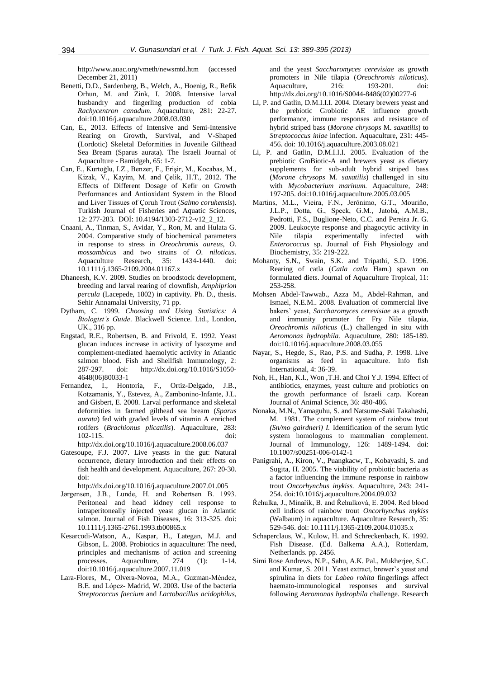http://www.aoac.org/vmeth/newsmtd.htm (accessed December 21, 2011)

- Benetti, D.D., Sardenberg, B., Welch, A., Hoenig, R., Refik Orhun, M. and Zink, I. 2008. Intensive larval husbandry and fingerling production of cobia *Rachycentron canadum.* Aquaculture, 281: 22-27. doi:10.1016/j.aquaculture.2008.03.030
- Can, E., 2013. Effects of Intensive and Semi-Intensive Rearing on Growth, Survival, and V-Shaped (Lordotic) Skeletal Deformities in Juvenile Gilthead Sea Bream (Sparus aurata). The Israeli Journal of Aquaculture - Bamidgeh, 65: 1-7.
- Can, E., Kurtoğlu, I.Z., Benzer, F., Erişir, M., Kocabas, M., Kizak, V., Kayim, M. and Çelik, H.T., 2012. The Effects of Different Dosage of Kefir on Growth Performances and Antioxidant System in the Blood and Liver Tissues of Çoruh Trout (*Salmo coruhensis*). Turkish Journal of Fisheries and Aquatic Sciences, 12: 277-283. DOİ: 10.4194/1303-2712-v12\_2\_12.
- Cnaani, A., Tinman, S., Avidar, Y., Ron, M. and Hulata G. 2004. Comparative study of biochemical parameters in response to stress in *Oreochromis aureus, O. mossambicus* and two strains of *O. niloticus*. Aquaculture Research, 35: 1434-1440. doi: 10.1111/j.1365-2109.2004.01167.x
- Dhaneesh, K.V. 2009. Studies on broodstock development, breeding and larval rearing of clownfish, *Amphiprion percula* (Lacepede, 1802) in captivity. Ph. D., thesis. Sehir Annamalai University, 71 pp.
- Dytham, C. 1999. *Choosing and Using Statistics: A Biologist's Guide*. Blackwell Science. Ltd., London, UK., 316 pp.
- Engstad, R.E., Robertsen, B. and Frivold, E. 1992. Yeast glucan induces increase in activity of lysozyme and complement-mediated haemolytic activity in Atlantic salmon blood. Fish and Shellfish Immunology, 2: 287-297. doi: http://dx.doi.org/10.1016/S1050- 4648(06)80033-1
- Fernandez, I., Hontoria, F., Ortiz-Delgado, J.B., Kotzamanis, Y., Estevez, A., Zambonino-Infante, J.L. and Gisbert, E. 2008. Larval performance and skeletal deformities in farmed gilthead sea bream (*Sparus aurata*) fed with graded levels of vitamin A enriched rotifers (*Brachionus plicatilis*). Aquaculture, 283: 102-115. doi: http://dx.doi.org/10.1016/j.aquaculture.2008.06.037
- Gatesoupe, F.J. 2007. Live yeasts in the gut: Natural occurrence, dietary introduction and their effects on fish health and development. Aquaculture, 267: 20-30. doi:

http://dx.doi.org/10.1016/j.aquaculture.2007.01.005

- Jørgensen, J.B., Lunde, H. and Robertsen B. 1993. Peritoneal and head kidney cell response to intraperitoneally injected yeast glucan in Atlantic salmon. Journal of Fish Diseases, 16: 313-325. doi: 10.1111/j.1365-2761.1993.tb00865.x
- Kesarcodi-Watson, A., Kaspar, H., Lategan, M.J. and Gibson, L. 2008. Probiotics in aquaculture: The need, principles and mechanisms of action and screening processes. Aquaculture, 274 (1): 1-14. doi:10.1016/j.aquaculture.2007.11.019
- Lara-Flores, M., Olvera-Novoa, M.A., Guzman-Méndez, B.E. and López- Madrid, W. 2003. Use of the bacteria *Streptococcus faecium* and *Lactobacillus acidophilus*,

and the yeast *Saccharomyces cerevisiae* as growth promoters in Nile tilapia (*Oreochromis niloticus*). Aquaculture, 216: 193-201. doi: http://dx.doi.org/10.1016/S0044-8486(02)00277-6

- Li, P. and Gatlin, D.M.I.I.I. 2004. Dietary brewers yeast and the prebiotic Grobiotic AE influence growth performance, immune responses and resistance of hybrid striped bass (*Morone chrysops* M. *saxatilis*) to *Streptococcus iniae* infection. Aquaculture, 231: 445- 456. doi: 10.1016/j.aquaculture.2003.08.021
- Li, P. and Gatlin, D.M.I.I.I. 2005. Evaluation of the prebiotic GroBiotic-A and brewers yeast as dietary supplements for sub-adult hybrid striped bass (*Morone chrysops* M. *saxatilis*) challenged in situ with *Mycobacterium marinum*. Aquaculture, 248: 197-205. doi:10.1016/j.aquaculture.2005.03.005
- Martins, M.L., Vieira, F.N., Jerônimo, G.T., Mouriño, J.L.P., Dotta, G., Speck, G.M., Jatobá, A.M.B., Pedrotti, F.S., Buglione-Neto, C.C. and Pereira Jr. G. 2009. Leukocyte response and phagocytic activity in Nile tilapia experimentally infected with *Enterococcus* sp. Journal of Fish Physiology and Biochemistry, 35: 219-222.
- Mohanty, S.N., Swain, S.K. and Tripathi, S.D. 1996. Rearing of catla (*Catla catla* Ham.) spawn on formulated diets. Journal of Aquaculture Tropical, 11: 253-258.
- Mohsen Abdel-Tawwab., Azza M., Abdel-Rahman, and Ismael, N.E.M.. 2008. Evaluation of commercial live bakers' yeast, *Saccharomyces cerevisiae* as a growth and immunity promoter for Fry Nile tilapia, *Oreochromis niloticus* (L.) challenged in situ with *Aeromonas hydrophila.* Aquaculture, 280: 185-189. doi:10.1016/j.aquaculture.2008.03.055
- Nayar, S., Hegde, S., Rao, P.S. and Sudha, P. 1998. Live organisms as feed in aquaculture. Info fish International, 4: 36-39.
- Noh, H., Han, K.I., Won ,T.H. and Choi Y.J. 1994. Effect of antibiotics, enzymes, yeast culture and probiotics on the growth performance of Israeli carp. Korean Journal of Animal Science, 36: 480-486.
- Nonaka, M.N., Yamaguhu, S. and Natsume-Saki Takahashi, M. 1981. The complement system of rainbow trout *(Sn/mo gairdneri) I.* Identification of the serum lytic system homologous to mammalian complement. Journal of Immunology, 126: 1489-1494. doi: 10.1007/s00251-006-0142-1
- Panigrahi, A., Kiron, V., Puangkacw, T., Kobayashi, S. and Sugita, H. 2005. The viability of probiotic bacteria as a factor influencing the immune response in rainbow trout *Oncorhynchus inykiss.* Aquaculture, 243: 241- 254. doi:10.1016/j.aquaculture.2004.09.032
- Řehulka, J., Minařík, B. and Řehulková, E. 2004. Red blood cell indices of rainbow trout *Oncorhynchus mykiss*  (Walbaum) in aquaculture. Aquaculture Research*,* 35: 529-546. doi: 10.1111/j.1365-2109.2004.01035.x
- Schaperclaus, W., Kulow, H. and Schreckenbach, K. 1992. Fish Disease. (Ed. Balkema A.A.), Rotterdam, Netherlands. pp. 2456.
- Simi Rose Andrews, N.P., Sahu, A.K. Pal., Mukherjee, S.C. and Kumar, S. 2011. Yeast extract, brewer's yeast and spirulina in diets for *Labeo rohita* fingerlings affect haemato-immunological responses and survival following *Aeromonas hydrophila* challenge. Research